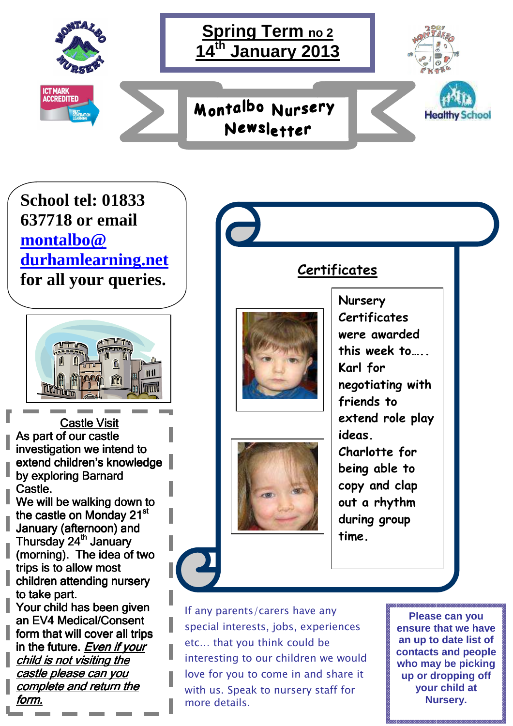## **School tel: 01833 637718 or email montalbo@ durhamlearning.net for all your queries.**



Castle Visit As part of our castle investigation we intend to extend children's knowledge by exploring Barnard Castle.

We will be walking down to the castle on Monday 21<sup>st</sup> January (afternoon) and Thursday 24<sup>th</sup> January (morning). The idea of two trips is to allow most  $\blacksquare$  children attending nursery to take part.

Your child has been given an EV4 Medical/Consent  $\blacksquare$  form that will cover all trips in the future. Even if your child is not visiting the castle please can you complete and return the form.

## **Certificates**





**Nursery Certificates were awarded this week to….. Karl for negotiating with friends to extend role play ideas. Charlotte for being able to copy and clap out a rhythm during group time.** 

If any parents/carers have any special interests, jobs, experiences etc… that you think could be interesting to our children we would love for you to come in and share it with us. Speak to nursery staff for more details.

**Please can you ensure that we have an up to date list of contacts and people who may be picking up or dropping off your child at Nursery.**